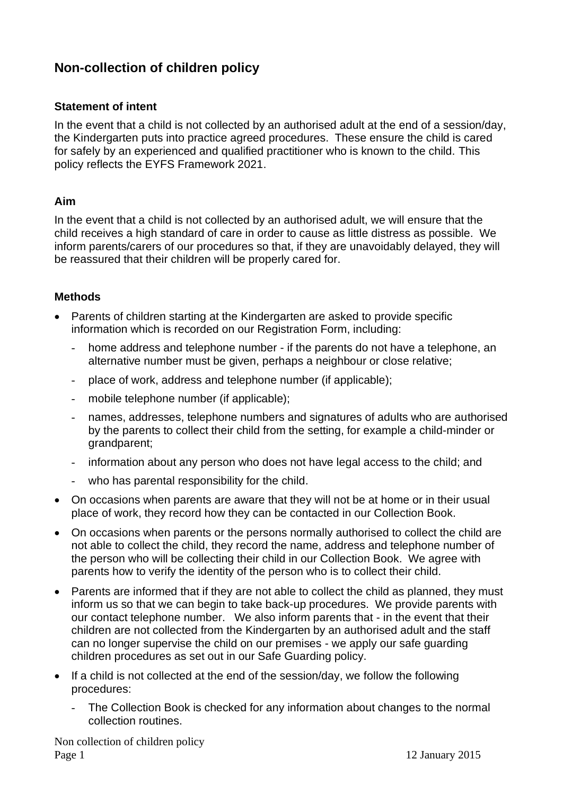## **Non-collection of children policy**

## **Statement of intent**

In the event that a child is not collected by an authorised adult at the end of a session/day, the Kindergarten puts into practice agreed procedures. These ensure the child is cared for safely by an experienced and qualified practitioner who is known to the child. This policy reflects the EYFS Framework 2021.

## **Aim**

In the event that a child is not collected by an authorised adult, we will ensure that the child receives a high standard of care in order to cause as little distress as possible. We inform parents/carers of our procedures so that, if they are unavoidably delayed, they will be reassured that their children will be properly cared for.

## **Methods**

- Parents of children starting at the Kindergarten are asked to provide specific information which is recorded on our Registration Form, including:
	- home address and telephone number if the parents do not have a telephone, an alternative number must be given, perhaps a neighbour or close relative;
	- place of work, address and telephone number (if applicable);
	- mobile telephone number (if applicable);
	- names, addresses, telephone numbers and signatures of adults who are authorised by the parents to collect their child from the setting, for example a child-minder or grandparent;
	- information about any person who does not have legal access to the child; and
	- who has parental responsibility for the child.
- On occasions when parents are aware that they will not be at home or in their usual place of work, they record how they can be contacted in our Collection Book.
- On occasions when parents or the persons normally authorised to collect the child are not able to collect the child, they record the name, address and telephone number of the person who will be collecting their child in our Collection Book. We agree with parents how to verify the identity of the person who is to collect their child.
- Parents are informed that if they are not able to collect the child as planned, they must inform us so that we can begin to take back-up procedures. We provide parents with our contact telephone number. We also inform parents that - in the event that their children are not collected from the Kindergarten by an authorised adult and the staff can no longer supervise the child on our premises - we apply our safe guarding children procedures as set out in our Safe Guarding policy.
- If a child is not collected at the end of the session/day, we follow the following procedures:
	- The Collection Book is checked for any information about changes to the normal collection routines.

Non collection of children policy Page 1 12 January 2015